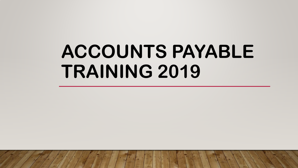# **ACCOUNTS PAYABLE TRAINING 2019**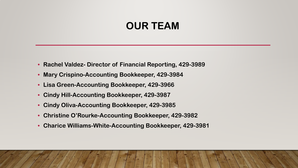## **OUR TEAM**

- **Rachel Valdez- Director of Financial Reporting, 429-3989**
- **Mary Crispino-Accounting Bookkeeper, 429-3984**
- **Lisa Green-Accounting Bookkeeper, 429-3966**
- **Cindy Hill-Accounting Bookkeeper, 429-3987**
- **Cindy Oliva-Accounting Bookkeeper, 429-3985**
- **Christine O'Rourke-Accounting Bookkeeper, 429-3982**
- **Charice Williams-White-Accounting Bookkeeper, 429-3981**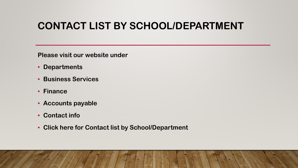# **CONTACT LIST BY SCHOOL/DEPARTMENT**

**Please visit our website under**

- **Departments**
- **Business Services**
- **Finance**
- **Accounts payable**
- **Contact info**
- **Click here for Contact list by School/Department**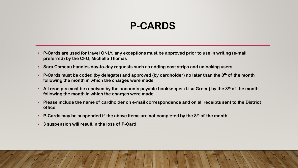# **P-CARDS**

- **P-Cards are used for travel ONLY, any exceptions must be approved prior to use in writing (e-mail preferred) by the CFO, Michelle Thomas**
- **Sara Comeau handles day-to-day requests such as adding cost strips and unlocking users.**
- **P-Cards must be coded (by delegate) and approved (by cardholder) no later than the 8th of the month following the month in which the charges were made**
- **All receipts must be received by the accounts payable bookkeeper (Lisa Green) by the 8th of the month following the month in which the charges were made**
- **Please include the name of cardholder on e-mail correspondence and on all receipts sent to the District office**
- **P-Cards may be suspended if the above items are not completed by the 8th of the month**
- **3 suspension will result in the loss of P-Card**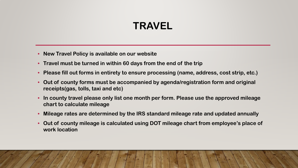# **TRAVEL**

- **New Travel Policy is available on our website**
- **Travel must be turned in within 60 days from the end of the trip**
- **Please fill out forms in entirety to ensure processing (name, address, cost strip, etc.)**
- **Out of county forms must be accompanied by agenda/registration form and original receipts(gas, tolls, taxi and etc)**
- **In county travel please only list one month per form. Please use the approved mileage chart to calculate mileage**
- **Mileage rates are determined by the IRS standard mileage rate and updated annually**
- **Out of county mileage is calculated using DOT mileage chart from employee's place of work location**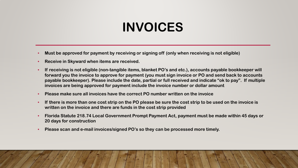# **INVOICES**

- **Must be approved for payment by receiving or signing off (only when receiving is not eligible)**
- **Receive in Skyward when items are received.**
- **If receiving is not eligible (non-tangible items, blanket PO's and etc.), accounts payable bookkeeper will forward you the invoice to approve for payment (you must sign invoice or PO and send back to accounts payable bookkeeper). Please include the date, partial or full received and indicate "ok to pay". If multiple invoices are being approved for payment include the invoice number or dollar amount**
- **Please make sure all invoices have the correct PO number written on the invoice**
- **If there is more than one cost strip on the PO please be sure the cost strip to be used on the invoice is written on the invoice and there are funds in the cost strip provided**
- **Florida Statute 218.74 Local Government Prompt Payment Act, payment must be made within 45 days or 20 days for construction**
- **Please scan and e-mail invoices/signed PO's so they can be processed more timely.**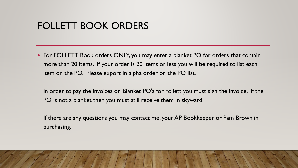#### FOLLETT BOOK ORDERS

- For FOLLETT Book orders ONLY, you may enter a blanket PO for orders that contain more than 20 items. If your order is 20 items or less you will be required to list each item on the PO. Please export in alpha order on the PO list.
	- In order to pay the invoices on Blanket PO's for Follett you must sign the invoice. If the PO is not a blanket then you must still receive them in skyward.
	- If there are any questions you may contact me, your AP Bookkeeper or Pam Brown in purchasing.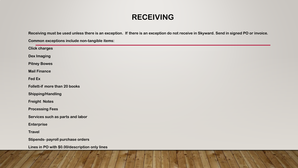#### **RECEIVING**

**Receiving must be used unless there is an exception. If there is an exception do not receive in Skyward. Send in signed PO or invoice.** 

**Common exceptions include non-tangible items:**

| <b>Click charges</b>                           |
|------------------------------------------------|
| <b>Dex Imaging</b>                             |
| <b>Pitney Bowes</b>                            |
| <b>Mail Finance</b>                            |
| Fed Ex                                         |
| Follett-if more than 20 books                  |
| <b>Shipping/Handling</b>                       |
| <b>Freight Notes</b>                           |
| <b>Processing Fees</b>                         |
| Services such as parts and labor               |
| <b>Enterprise</b>                              |
| <b>Travel</b>                                  |
| Stipends- payroll purchase orders              |
| Lines in PO with \$0.00/description only lines |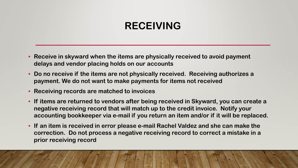# **RECEIVING**

- **Receive in skyward when the items are physically received to avoid payment delays and vendor placing holds on our accounts**
- **Do no receive if the items are not physically received. Receiving authorizes a payment. We do not want to make payments for items not received**
- **Receiving records are matched to invoices**
- **If items are returned to vendors after being received in Skyward, you can create a negative receiving record that will match up to the credit invoice. Notify your accounting bookkeeper via e-mail if you return an item and/or if it will be replaced.**
- **If an item is received in error please e-mail Rachel Valdez and she can make the correction. Do not process a negative receiving record to correct a mistake in a prior receiving record**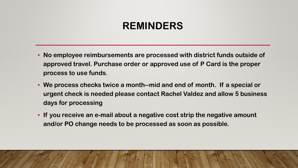# **REMINDERS**

- **No employee reimbursements are processed with district funds outside of approved travel. Purchase order or approved use of P Card is the proper process to use funds**.
- **We process checks twice a month--mid and end of month. If a special or urgent check is needed please contact Rachel Valdez and allow 5 business days for processing**
- **If you receive an e-mail about a negative cost strip the negative amount and/or PO change needs to be processed as soon as possible.**